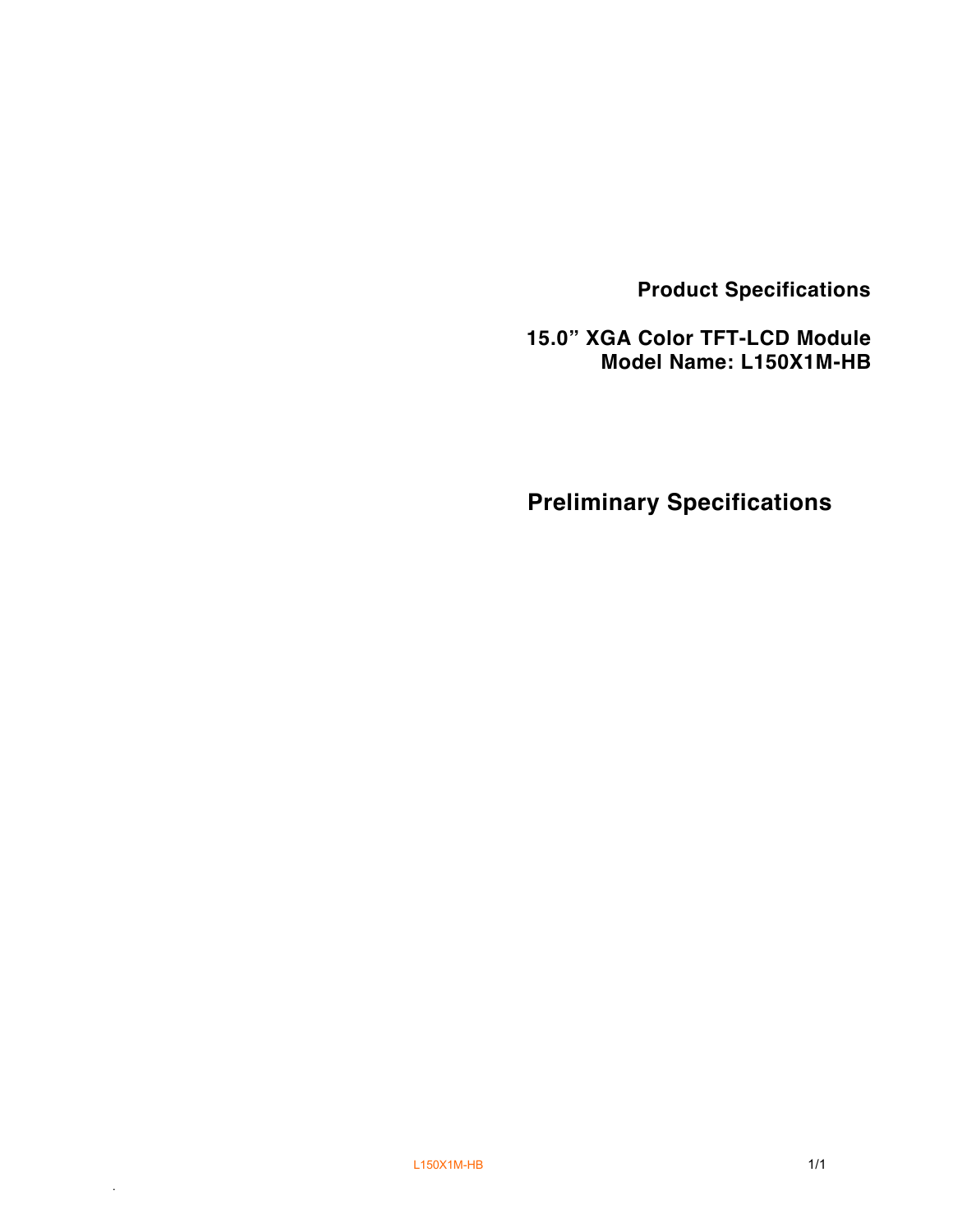**Product Specifications**

 **15.0" XGA Color TFT-LCD Module Model Name: L150X1M-HB**

**Preliminary Specifications**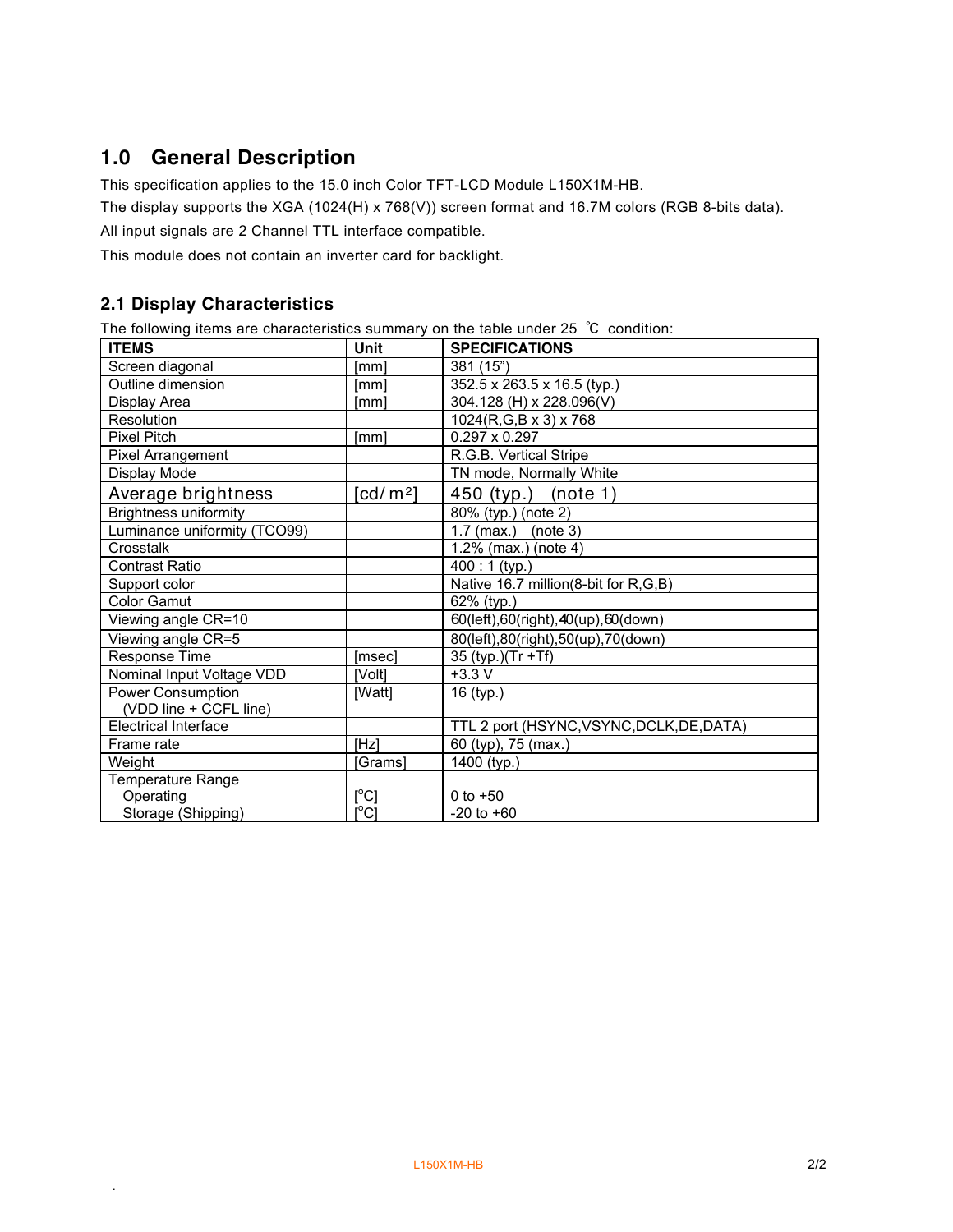# **1.0 General Description**

This specification applies to the 15.0 inch Color TFT-LCD Module L150X1M-HB.

The display supports the XGA (1024(H) x 768(V)) screen format and 16.7M colors (RGB 8-bits data).

All input signals are 2 Channel TTL interface compatible.

This module does not contain an inverter card for backlight.

#### **2.1 Display Characteristics**

.

The following items are characteristics summary on the table under 25 ℃ condition:

| <b>ITEMS</b>                 | Unit                                    | <b>SPECIFICATIONS</b>                     |
|------------------------------|-----------------------------------------|-------------------------------------------|
| Screen diagonal              | [mm]                                    | 381 (15")                                 |
| Outline dimension            | [mm]                                    | 352.5 x 263.5 x 16.5 (typ.)               |
| Display Area                 | [mm]                                    | 304.128 (H) x 228.096(V)                  |
| Resolution                   |                                         | 1024(R,G,B x 3) x 768                     |
| <b>Pixel Pitch</b>           | [mm]                                    | $0.297 \times 0.297$                      |
| Pixel Arrangement            |                                         | R.G.B. Vertical Stripe                    |
| Display Mode                 |                                         | TN mode, Normally White                   |
| Average brightness           | [cd/m <sup>2</sup> ]                    | 450 (typ.)<br>(note 1)                    |
| <b>Brightness uniformity</b> |                                         | 80% (typ.) (note 2)                       |
| Luminance uniformity (TCO99) |                                         | $1.7$ (max.)<br>(note 3)                  |
| Crosstalk                    |                                         | 1.2% (max.) (note 4)                      |
| <b>Contrast Ratio</b>        |                                         | 400:1 (typ.)                              |
| Support color                |                                         | Native 16.7 million(8-bit for R,G,B)      |
| <b>Color Gamut</b>           |                                         | 62% (typ.)                                |
| Viewing angle CR=10          |                                         | 60(left),60(right),40(up),60(down)        |
| Viewing angle CR=5           |                                         | 80(left), 80(right), 50(up), 70(down)     |
| Response Time                | [msec]                                  | 35 (typ.)(Tr +Tf)                         |
| Nominal Input Voltage VDD    | [Volt]                                  | $+3.3 V$                                  |
| Power Consumption            | [Watt]                                  | 16 (typ.)                                 |
| (VDD line + CCFL line)       |                                         |                                           |
| <b>Electrical Interface</b>  |                                         | TTL 2 port (HSYNC, VSYNC, DCLK, DE, DATA) |
| Frame rate                   | <b>IHzl</b>                             | 60 (typ), 75 (max.)                       |
| Weight                       | [Grams]                                 | 1400 (typ.)                               |
| <b>Temperature Range</b>     |                                         |                                           |
| Operating                    | [°C]                                    | 0 to $+50$                                |
| Storage (Shipping)           | $\mathsf{I}^\circ\mathsf{C} \mathsf{I}$ | $-20$ to $+60$                            |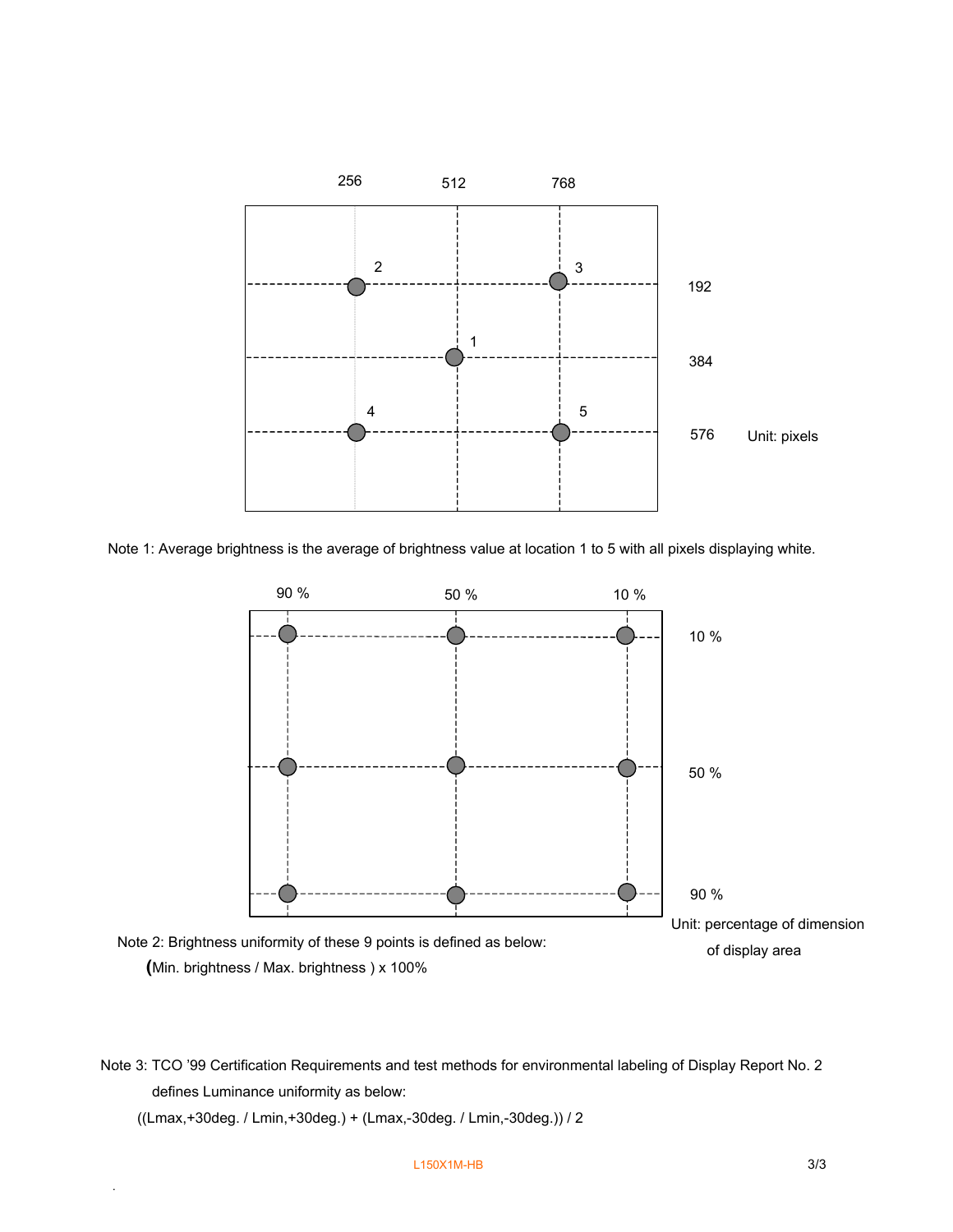

Note 1: Average brightness is the average of brightness value at location 1 to 5 with all pixels displaying white.



Note 3: TCO '99 Certification Requirements and test methods for environmental labeling of Display Report No. 2 defines Luminance uniformity as below:

((Lmax,+30deg. / Lmin,+30deg.) + (Lmax,-30deg. / Lmin,-30deg.)) / 2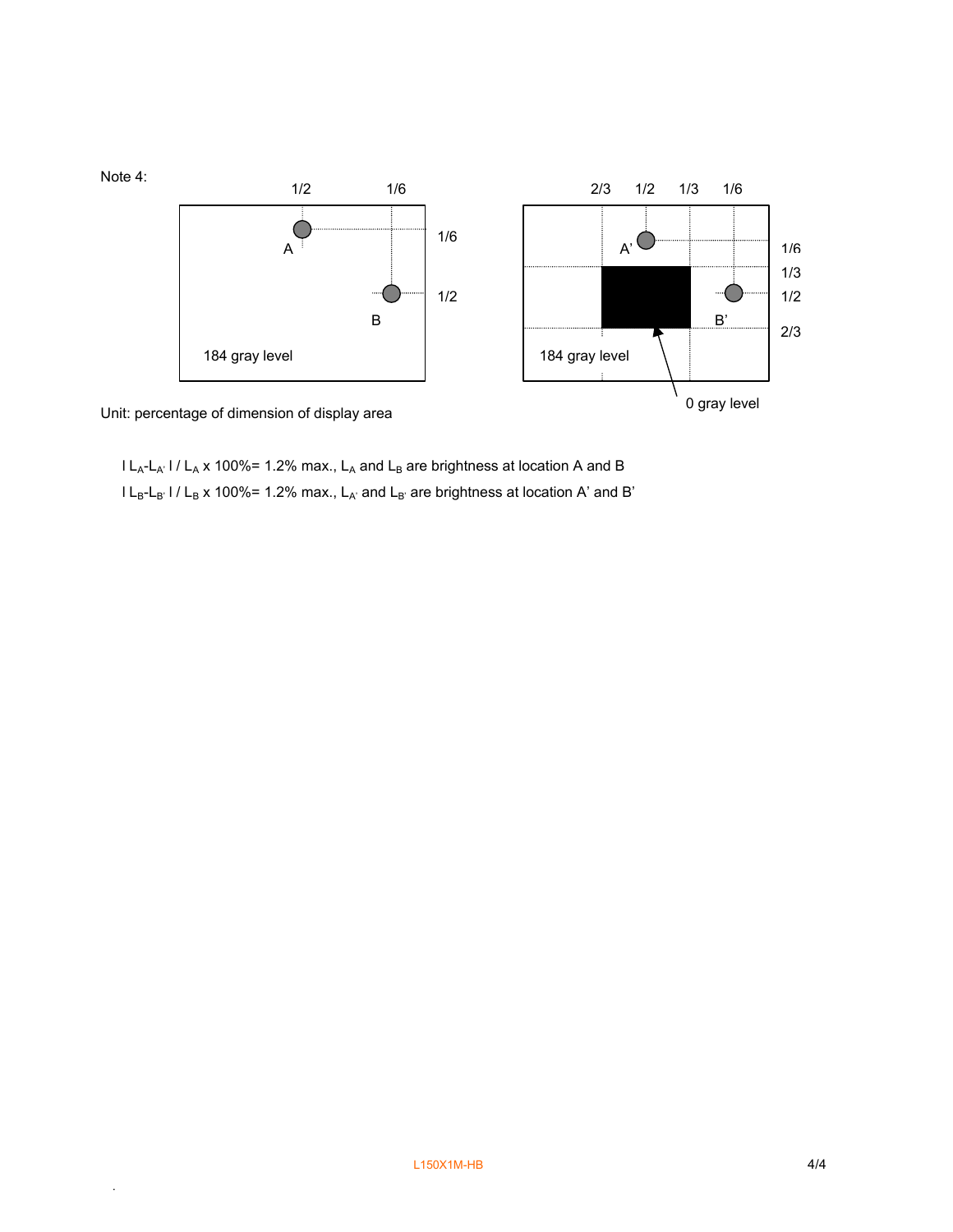

Unit: percentage of dimension of display area

.

 $l L_A-L_A'$  l /  $L_A$  x 100%= 1.2% max.,  $L_A$  and  $L_B$  are brightness at location A and B  $l L_B-L_B$ ' l /  $L_B$  x 100%= 1.2% max.,  $L_{A'}$  and  $L_{B'}$  are brightness at location A' and B'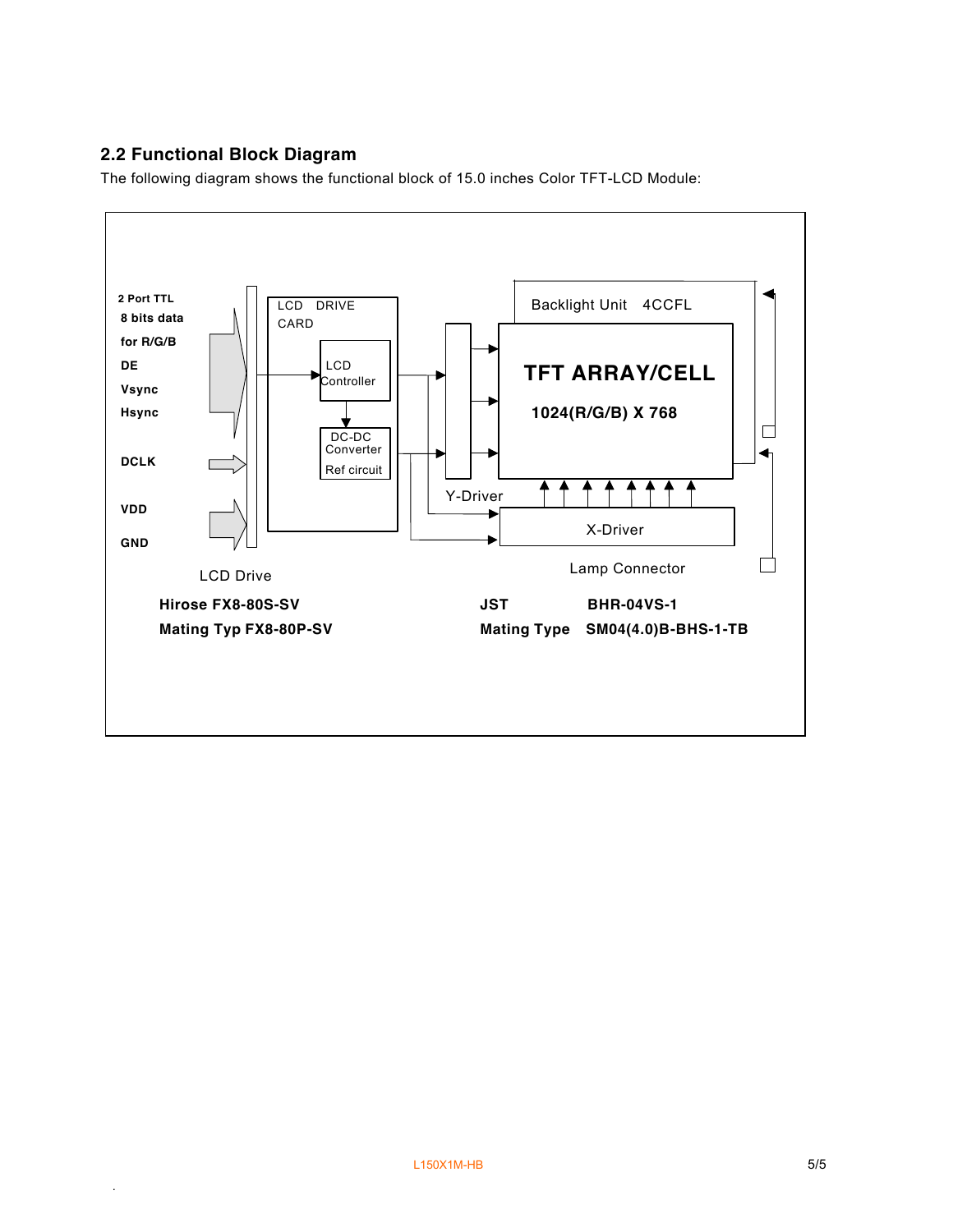## **2.2 Functional Block Diagram**

.

The following diagram shows the functional block of 15.0 inches Color TFT-LCD Module:

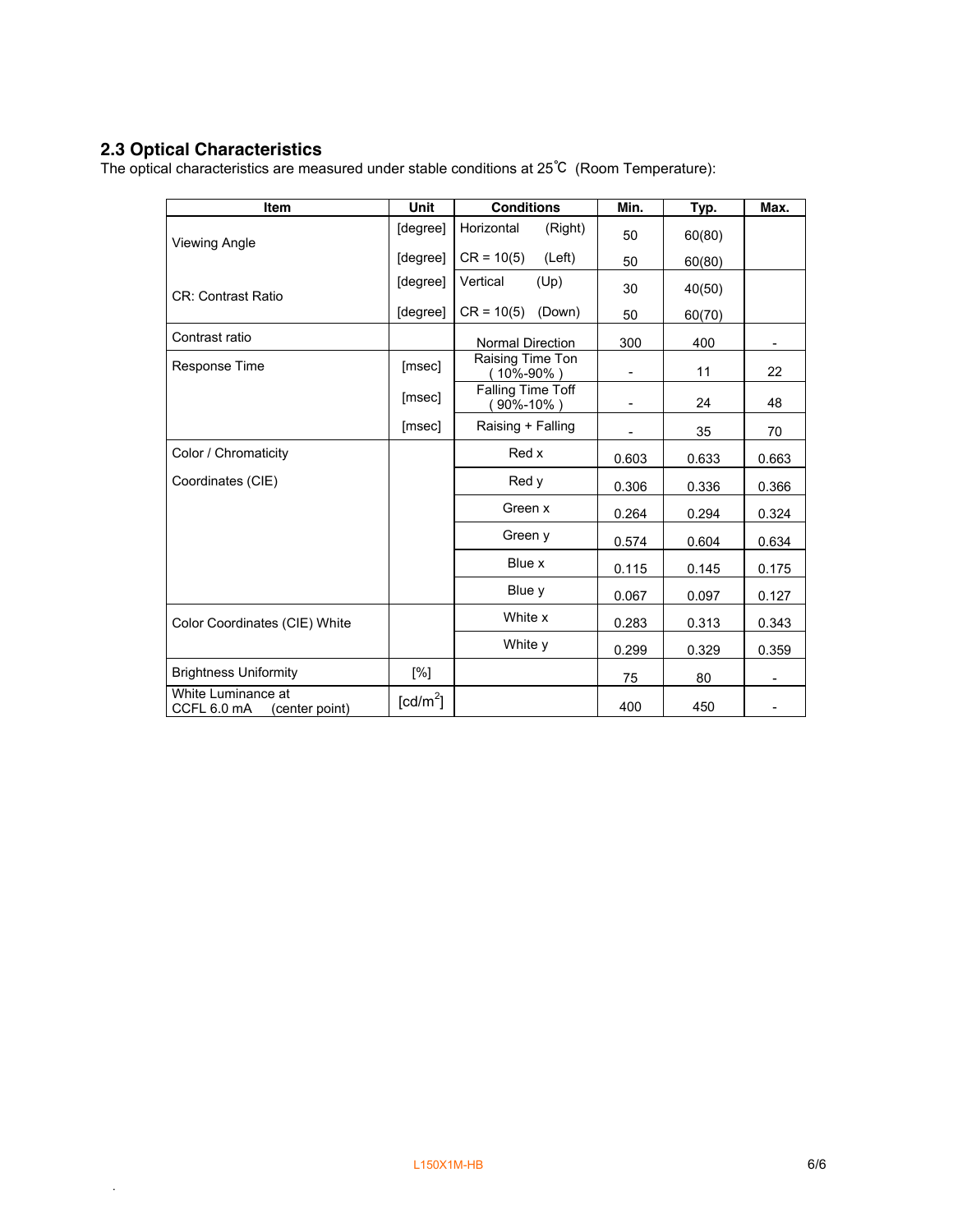#### **2.3 Optical Characteristics**

.

The optical characteristics are measured under stable conditions at 25℃ (Room Temperature):

| Item                                                | Unit                   | <b>Conditions</b>             | Min.                     | Typ.   | Max.  |
|-----------------------------------------------------|------------------------|-------------------------------|--------------------------|--------|-------|
| <b>Viewing Angle</b>                                | [degree]               | Horizontal<br>(Right)         | 50                       | 60(80) |       |
|                                                     | [degree]               | $CR = 10(5)$<br>(Left)        | 50                       | 60(80) |       |
| <b>CR: Contrast Ratio</b>                           | [degree]               | Vertical<br>(Up)              | 30                       | 40(50) |       |
|                                                     | [degree]               | $CR = 10(5)$<br>(Down)        | 50                       | 60(70) |       |
| Contrast ratio                                      |                        | <b>Normal Direction</b>       | 300                      | 400    |       |
| <b>Response Time</b>                                | [msec]                 | Raising Time Ton<br>(10%-90%) | $\overline{\phantom{a}}$ | 11     | 22    |
|                                                     | [msec]                 | Falling Time Toff<br>90%-10%) |                          | 24     | 48    |
|                                                     | [msec]                 | Raising + Falling             |                          | 35     | 70    |
| Color / Chromaticity                                |                        | Red x                         | 0.603                    | 0.633  | 0.663 |
| Coordinates (CIE)                                   |                        | Red y                         | 0.306                    | 0.336  | 0.366 |
|                                                     |                        | Green x                       | 0.264                    | 0.294  | 0.324 |
|                                                     |                        | Green y                       | 0.574                    | 0.604  | 0.634 |
|                                                     |                        | Blue x                        | 0.115                    | 0.145  | 0.175 |
|                                                     |                        | Blue y                        | 0.067                    | 0.097  | 0.127 |
| Color Coordinates (CIE) White                       |                        | White x                       | 0.283                    | 0.313  | 0.343 |
|                                                     |                        | White y                       | 0.299                    | 0.329  | 0.359 |
| <b>Brightness Uniformity</b>                        | [%]                    |                               | 75                       | 80     |       |
| White Luminance at<br>CCFL 6.0 mA<br>(center point) | $\lceil cd/m^2 \rceil$ |                               | 400                      | 450    |       |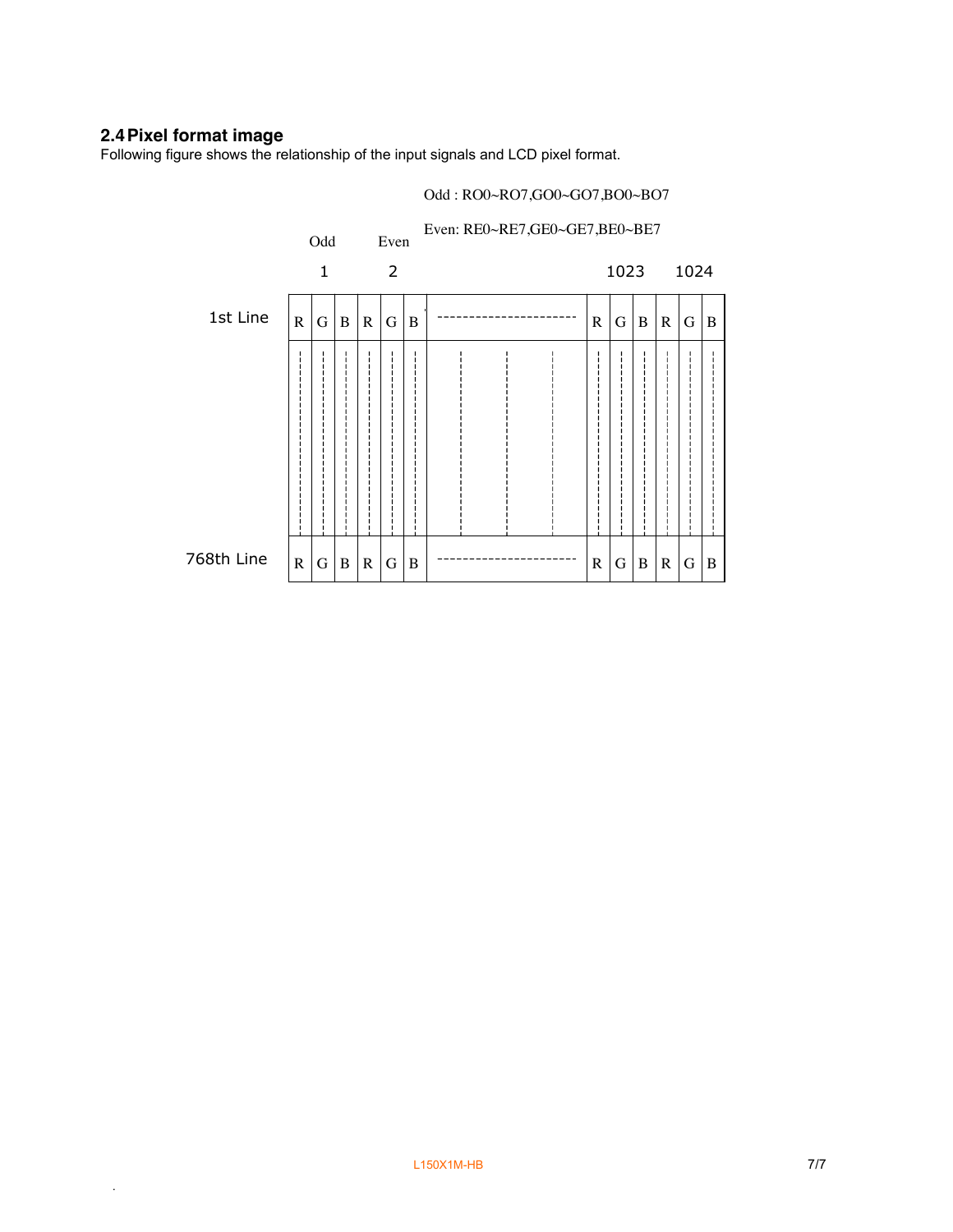#### **2.4Pixel format image**

.

Following figure shows the relationship of the input signals and LCD pixel format.

#### Even: RE0~RE7,GE0~GE7,BE0~BE7 Odd Even 1 2 1023 1024 1st Line  $G \mid B$  R  $|G|B$  $R|G|B|R|G$  $|G|B|R|G$  $\frac{1}{1}$ 768th Line  $\, {\bf B}$  $G \mid B$  $R | G | B | R$  $\, {\bf B}$  B  $R|G|B|R$ G G G

Odd : RO0~RO7,GO0~GO7,BO0~BO7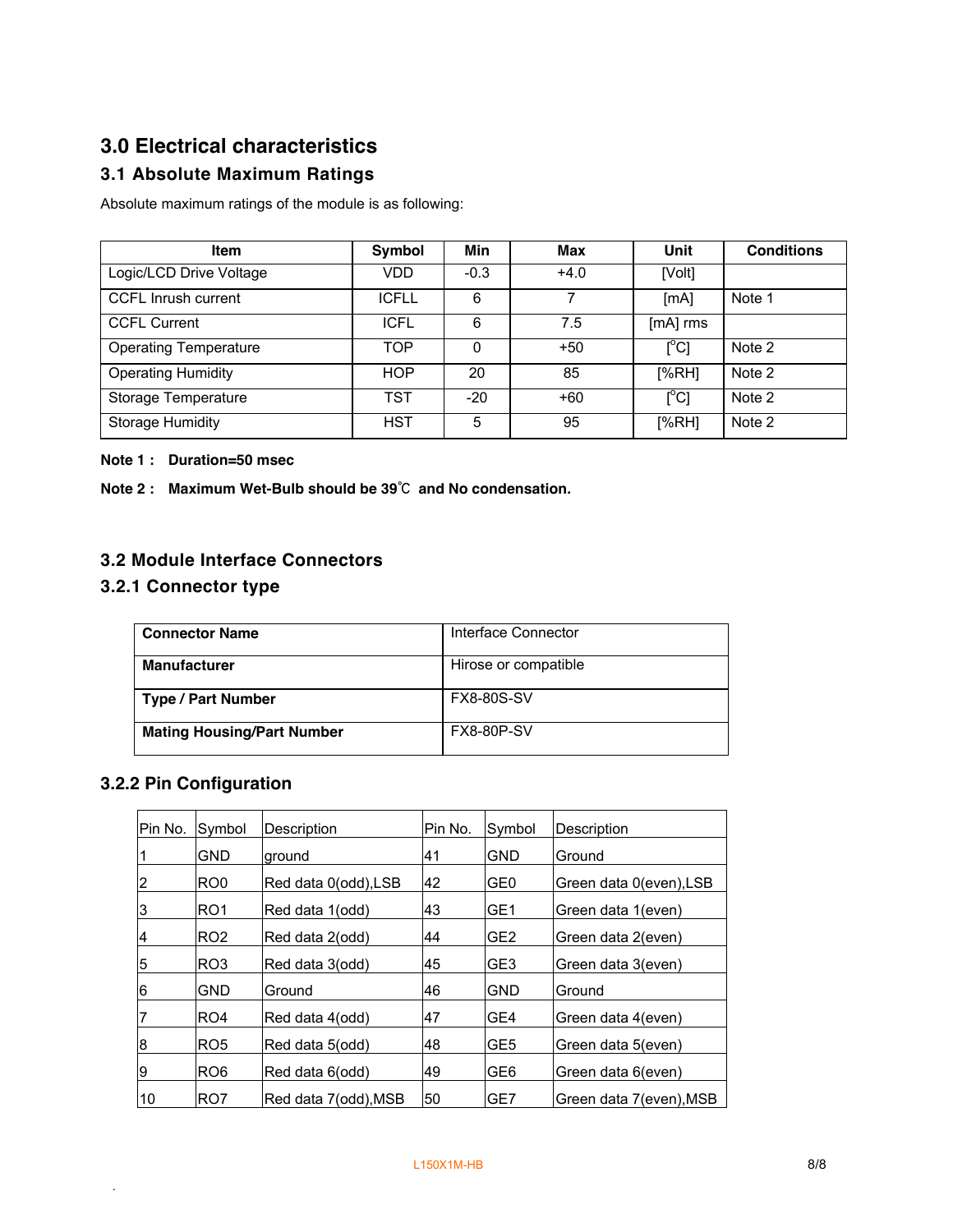# **3.0 Electrical characteristics**

# **3.1 Absolute Maximum Ratings**

Absolute maximum ratings of the module is as following:

| <b>Item</b>                  | Symbol       | Min      | Max    | Unit                         | <b>Conditions</b> |
|------------------------------|--------------|----------|--------|------------------------------|-------------------|
| Logic/LCD Drive Voltage      | VDD          | $-0.3$   | $+4.0$ | [Volt]                       |                   |
| <b>CCFL Inrush current</b>   | <b>ICFLL</b> | 6        |        | [mA]                         | Note 1            |
| <b>CCFL Current</b>          | <b>ICFL</b>  | 6        | 7.5    | [mA] rms                     |                   |
| <b>Operating Temperature</b> | TOP          | $\Omega$ | $+50$  | $\mathsf{I}^\circ\mathsf{C}$ | Note 2            |
| <b>Operating Humidity</b>    | <b>HOP</b>   | 20       | 85     | [%RH]                        | Note 2            |
| Storage Temperature          | TST          | -20      | $+60$  | $\mathsf{I}^\circ\mathsf{C}$ | Note 2            |
| <b>Storage Humidity</b>      | <b>HST</b>   | 5        | 95     | [%RH]                        | Note 2            |

#### **Note 1 : Duration=50 msec**

**Note 2 : Maximum Wet-Bulb should be 39**℃ **and No condensation.**

#### **3.2 Module Interface Connectors**

#### **3.2.1 Connector type**

| <b>Connector Name</b>             | Interface Connector  |
|-----------------------------------|----------------------|
| <b>Manufacturer</b>               | Hirose or compatible |
| <b>Type / Part Number</b>         | <b>FX8-80S-SV</b>    |
| <b>Mating Housing/Part Number</b> | <b>FX8-80P-SV</b>    |

## **3.2.2 Pin Configuration**

| Pin No.        | Symbol          | Description          | Pin No. | Symbol          | Description             |
|----------------|-----------------|----------------------|---------|-----------------|-------------------------|
|                | GND             | ground               | 41      | GND             | Ground                  |
| $\overline{2}$ | RO <sub>0</sub> | Red data 0(odd), LSB | 42      | GE <sub>0</sub> | Green data 0(even), LSB |
| 3              | RO1             | Red data 1(odd)      | 43      | GE1             | Green data 1(even)      |
| 14             | RO2             | Red data 2(odd)      | 44      | GE <sub>2</sub> | Green data 2(even)      |
| 5              | RO <sub>3</sub> | Red data 3(odd)      | 45      | GE <sub>3</sub> | Green data 3(even)      |
| 6              | GND             | Ground               | 46      | <b>GND</b>      | Ground                  |
|                | RO4             | Red data 4(odd)      | 47      | GE4             | Green data 4(even)      |
| 8              | RO <sub>5</sub> | Red data 5(odd)      | 48      | GE <sub>5</sub> | Green data 5(even)      |
| 9              | RO <sub>6</sub> | Red data 6(odd)      | 49      | GE <sub>6</sub> | Green data 6(even)      |
| 10             | RO7             | Red data 7(odd), MSB | 50      | GE7             | Green data 7(even), MSB |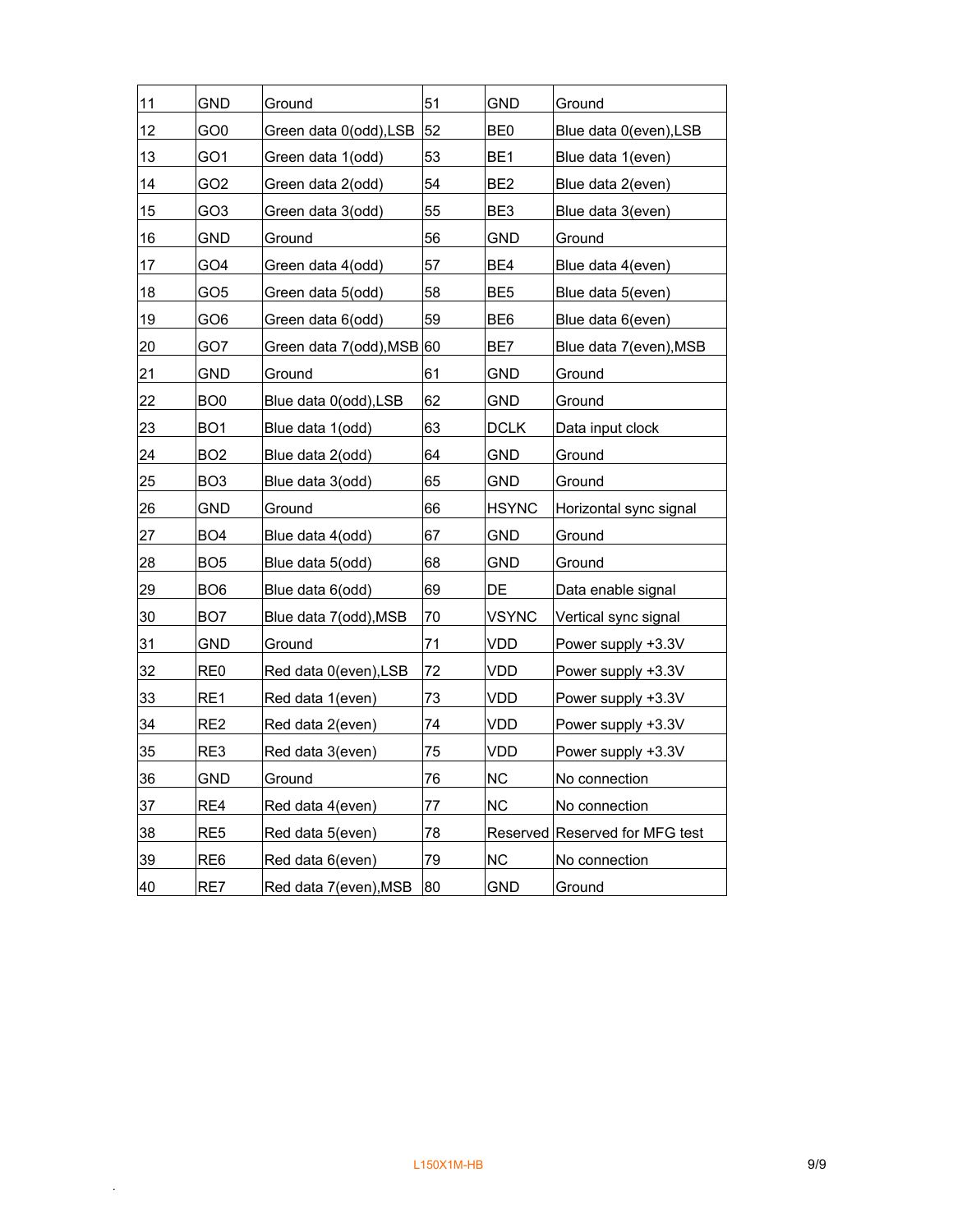| 11 | <b>GND</b>      | Ground                 | 51 | <b>GND</b>      | Ground                         |
|----|-----------------|------------------------|----|-----------------|--------------------------------|
| 12 | GO <sub>0</sub> | Green data 0(odd),LSB  | 52 | BE0             | Blue data 0(even), LSB         |
| 13 | GO1             | Green data 1(odd)      | 53 | BE <sub>1</sub> | Blue data 1(even)              |
| 14 | GO2             | Green data 2(odd)      | 54 | BE2             | Blue data 2(even)              |
| 15 | GO <sub>3</sub> | Green data 3(odd)      | 55 | BE3             | Blue data 3(even)              |
| 16 | <b>GND</b>      | Ground                 | 56 | <b>GND</b>      | Ground                         |
| 17 | GO4             | Green data 4(odd)      | 57 | BE4             | Blue data 4(even)              |
| 18 | GO <sub>5</sub> | Green data 5(odd)      | 58 | BE <sub>5</sub> | Blue data 5(even)              |
| 19 | GO <sub>6</sub> | Green data 6(odd)      | 59 | BE <sub>6</sub> | Blue data 6(even)              |
| 20 | GO7             | Green data 7(odd), MSB | 60 | BE7             | Blue data 7(even), MSB         |
| 21 | <b>GND</b>      | Ground                 | 61 | <b>GND</b>      | Ground                         |
| 22 | BO <sub>0</sub> | Blue data 0(odd), LSB  | 62 | <b>GND</b>      | Ground                         |
| 23 | BO <sub>1</sub> | Blue data 1(odd)       | 63 | <b>DCLK</b>     | Data input clock               |
| 24 | BO <sub>2</sub> | Blue data 2(odd)       | 64 | <b>GND</b>      | Ground                         |
| 25 | BO <sub>3</sub> | Blue data 3(odd)       | 65 | <b>GND</b>      | Ground                         |
| 26 | <b>GND</b>      | Ground                 | 66 | <b>HSYNC</b>    | Horizontal sync signal         |
| 27 | BO <sub>4</sub> | Blue data 4(odd)       | 67 | <b>GND</b>      | Ground                         |
| 28 | BO <sub>5</sub> | Blue data 5(odd)       | 68 | <b>GND</b>      | Ground                         |
| 29 | BO <sub>6</sub> | Blue data 6(odd)       | 69 | DE              | Data enable signal             |
| 30 | BO <sub>7</sub> | Blue data 7(odd), MSB  | 70 | <b>VSYNC</b>    | Vertical sync signal           |
| 31 | GND             | Ground                 | 71 | <b>VDD</b>      | Power supply +3.3V             |
| 32 | RE <sub>0</sub> | Red data 0(even), LSB  | 72 | VDD             | Power supply +3.3V             |
| 33 | RE1             | Red data 1(even)       | 73 | VDD             | Power supply +3.3V             |
| 34 | RE <sub>2</sub> | Red data 2(even)       | 74 | VDD             | Power supply +3.3V             |
| 35 | RE3             | Red data 3(even)       | 75 | VDD             | Power supply +3.3V             |
| 36 | <b>GND</b>      | Ground                 | 76 | <b>NC</b>       | No connection                  |
| 37 | RE4             | Red data 4(even)       | 77 | <b>NC</b>       | No connection                  |
| 38 | RE <sub>5</sub> | Red data 5(even)       | 78 |                 | Reserved Reserved for MFG test |
| 39 | RE <sub>6</sub> | Red data 6(even)       | 79 | <b>NC</b>       | No connection                  |
| 40 | RE7             | Red data 7(even), MSB  | 80 | GND             | Ground                         |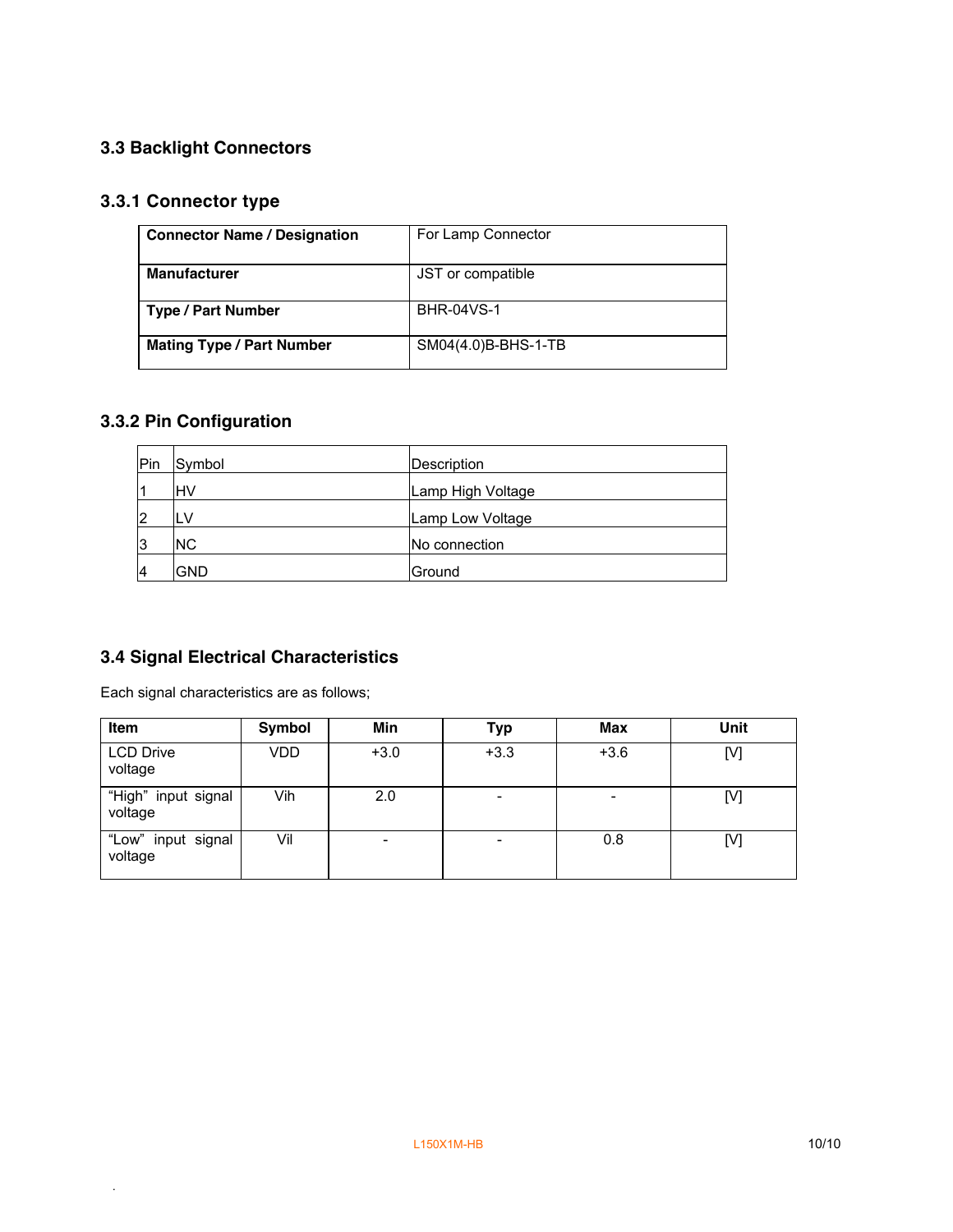## **3.3 Backlight Connectors**

## **3.3.1 Connector type**

| <b>Connector Name / Designation</b> | For Lamp Connector  |
|-------------------------------------|---------------------|
| <b>Manufacturer</b>                 | JST or compatible   |
| <b>Type / Part Number</b>           | <b>BHR-04VS-1</b>   |
| <b>Mating Type / Part Number</b>    | SM04(4.0)B-BHS-1-TB |

## **3.3.2 Pin Configuration**

| <b>Pin</b> | Symbol     | Description       |  |  |
|------------|------------|-------------------|--|--|
|            | lнv        | Lamp High Voltage |  |  |
| 2          | ۱LV        | Lamp Low Voltage  |  |  |
| 3          | <b>NC</b>  | No connection     |  |  |
|            | <b>GND</b> | Ground            |  |  |

## **3.4 Signal Electrical Characteristics**

Each signal characteristics are as follows;

| <b>Item</b>                    | Symbol | Min    | <b>Typ</b> | <b>Max</b> | Unit |
|--------------------------------|--------|--------|------------|------------|------|
| <b>LCD Drive</b><br>voltage    | VDD    | $+3.0$ | $+3.3$     | $+3.6$     | [V]  |
| "High" input signal<br>voltage | Vih    | 2.0    | -          |            | [V]  |
| "Low" input signal<br>voltage  | Vil    | -      |            | 0.8        | [V]  |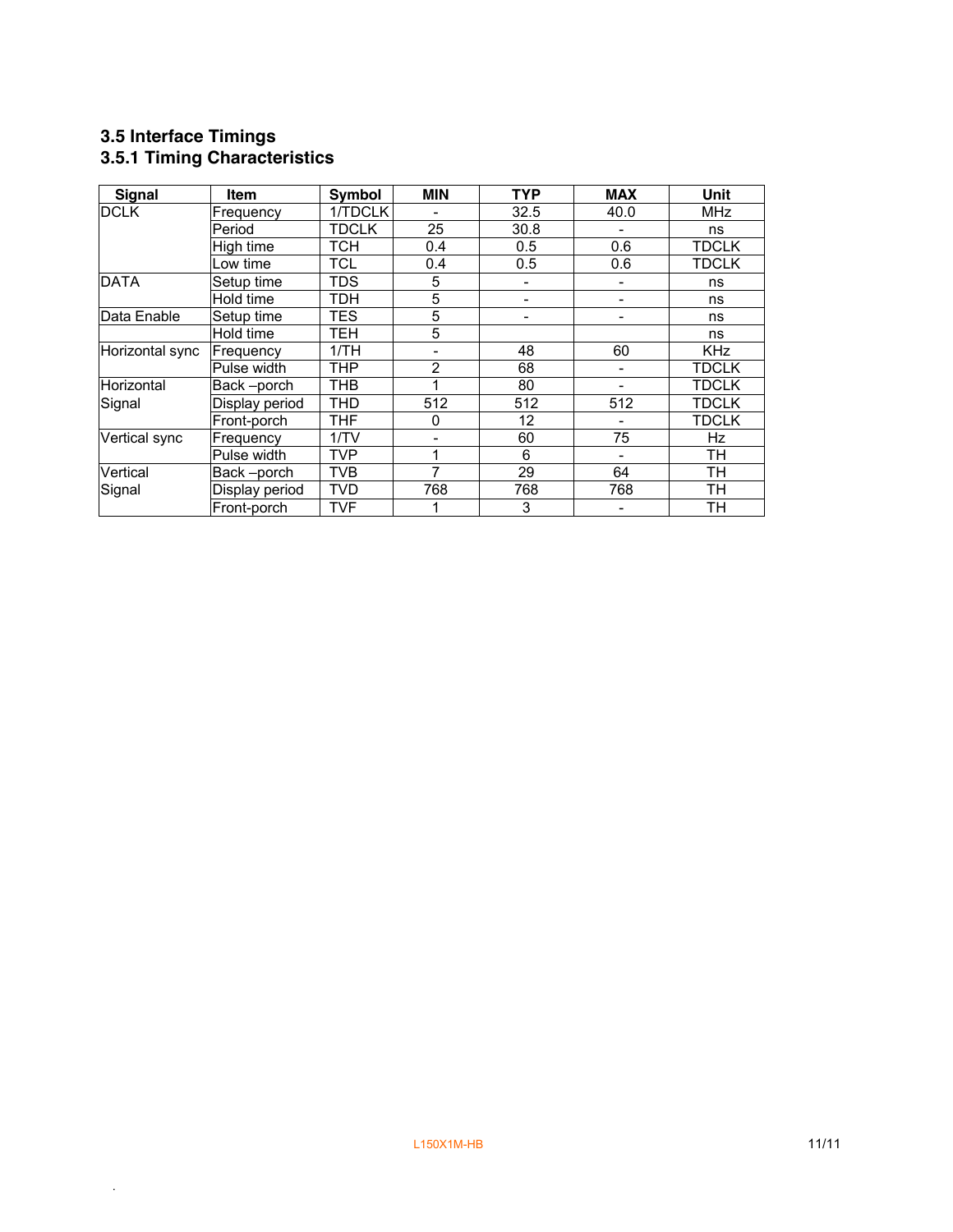### **3.5 Interface Timings 3.5.1 Timing Characteristics**

| Signal          | <b>Item</b>    | Symbol       | <b>MIN</b>     | <b>TYP</b>        | <b>MAX</b> | Unit         |
|-----------------|----------------|--------------|----------------|-------------------|------------|--------------|
| <b>DCLK</b>     | Frequency      | 1/TDCLK      |                | 32.5              | 40.0       | <b>MHz</b>   |
|                 | Period         | <b>TDCLK</b> | 25             | 30.8              |            | ns           |
|                 | High time      | <b>TCH</b>   | 0.4            | 0.5               | 0.6        | <b>TDCLK</b> |
|                 | Low time       | <b>TCL</b>   | 0.4            | 0.5               | 0.6        | <b>TDCLK</b> |
| <b>DATA</b>     | Setup time     | <b>TDS</b>   | 5              |                   |            | ns           |
|                 | Hold time      | <b>TDH</b>   | 5              | -                 |            | ns           |
| Data Enable     | Setup time     | <b>TES</b>   | 5              |                   |            | ns           |
|                 | Hold time      | TEH          | 5              |                   |            | ns           |
| Horizontal sync | Frequency      | 1/TH         |                | 48                | 60         | <b>KHz</b>   |
|                 | Pulse width    | <b>THP</b>   | $\overline{2}$ | 68                |            | <b>TDCLK</b> |
| Horizontal      | Back-porch     | <b>THB</b>   |                | 80                |            | <b>TDCLK</b> |
| Signal          | Display period | <b>THD</b>   | 512            | 512               | 512        | <b>TDCLK</b> |
|                 | Front-porch    | <b>THF</b>   | 0              | $12 \overline{ }$ |            | <b>TDCLK</b> |
| Vertical sync   | Frequency      | 1/TV         |                | 60                | 75         | Hz           |
|                 | Pulse width    | <b>TVP</b>   | 1              | 6                 |            | TH           |
| Vertical        | Back-porch     | <b>TVB</b>   | 7              | 29                | 64         | TH           |
| Signal          | Display period | <b>TVD</b>   | 768            | 768               | 768        | TH           |
|                 | Front-porch    | <b>TVF</b>   |                | 3                 |            | <b>TH</b>    |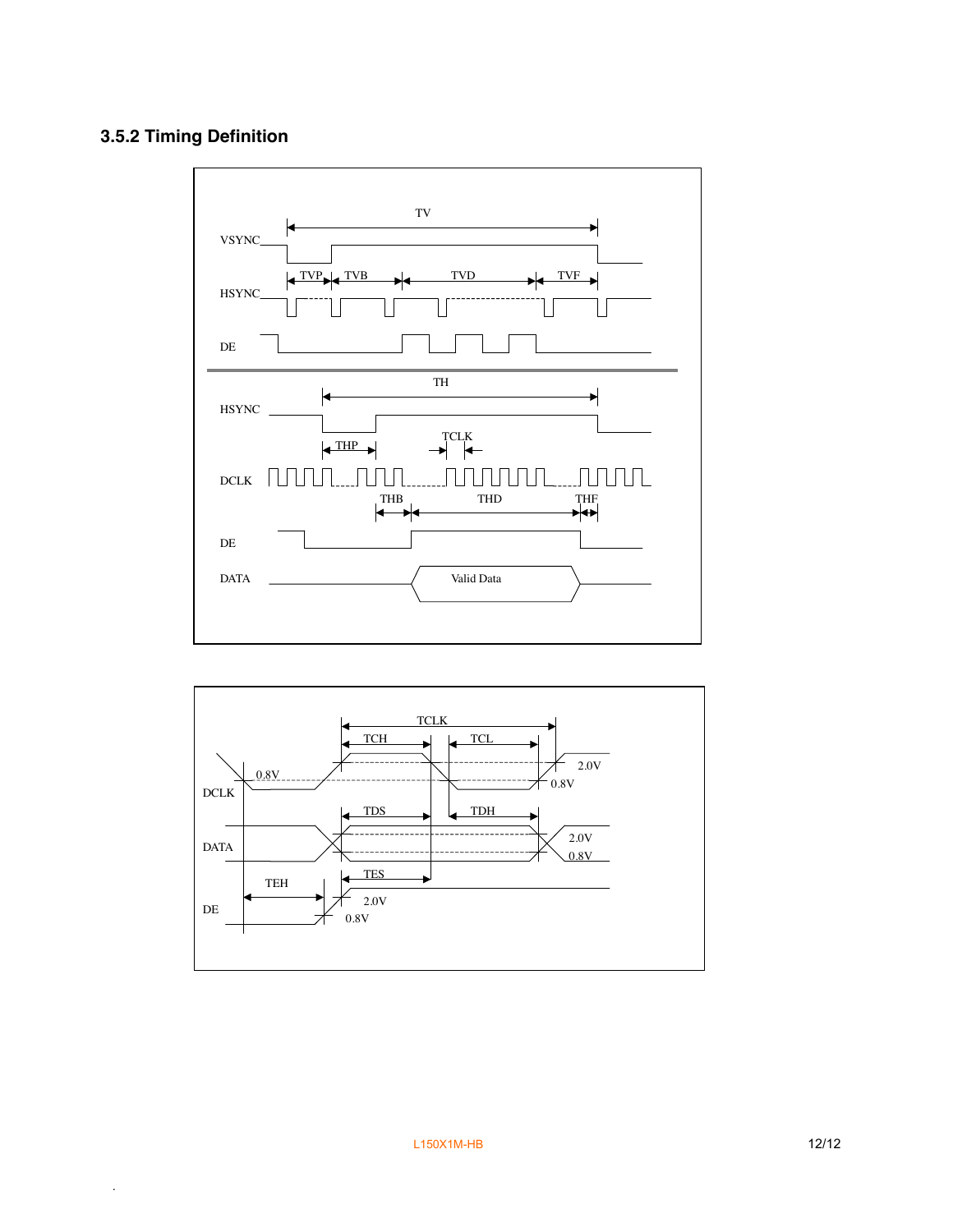## **3.5.2 Timing Definition**



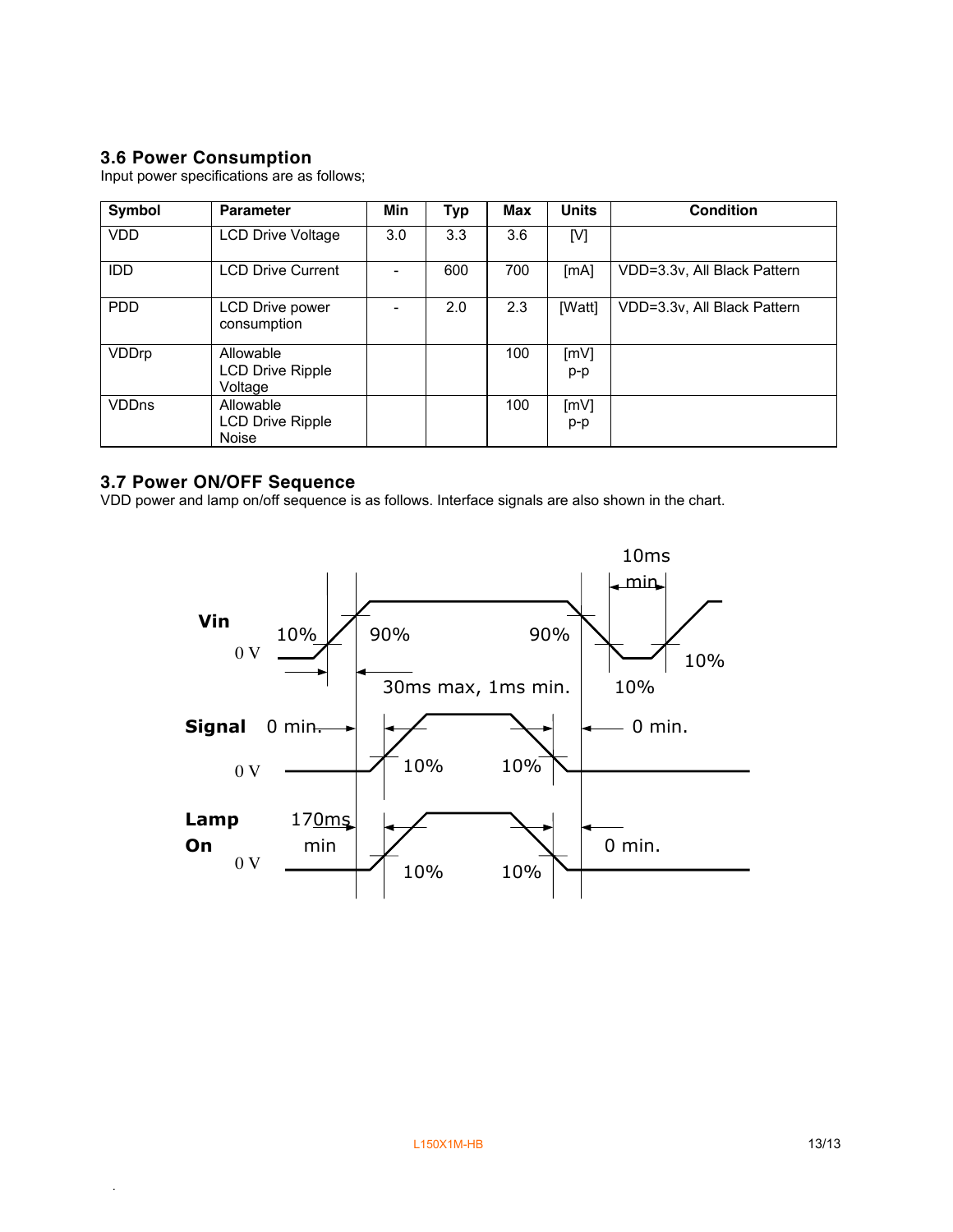## **3.6 Power Consumption**

Input power specifications are as follows;

| Symbol       | <b>Parameter</b>               | Min | <b>Typ</b> | Max | <b>Units</b> | <b>Condition</b>            |
|--------------|--------------------------------|-----|------------|-----|--------------|-----------------------------|
| <b>VDD</b>   | <b>LCD Drive Voltage</b>       | 3.0 | 3.3        | 3.6 | [V]          |                             |
| <b>IDD</b>   | <b>LCD Drive Current</b>       |     | 600        | 700 | [mA]         | VDD=3.3v, All Black Pattern |
| <b>PDD</b>   | LCD Drive power<br>consumption |     | 2.0        | 2.3 | [Watt]       | VDD=3.3v, All Black Pattern |
| VDDrp        | Allowable                      |     |            | 100 | [mV]         |                             |
|              | LCD Drive Ripple<br>Voltage    |     |            |     | $p-p$        |                             |
| <b>VDDns</b> | Allowable                      |     |            | 100 | [mV]         |                             |
|              | LCD Drive Ripple               |     |            |     | $p-p$        |                             |
|              | <b>Noise</b>                   |     |            |     |              |                             |

### **3.7 Power ON/OFF Sequence**

.

VDD power and lamp on/off sequence is as follows. Interface signals are also shown in the chart.

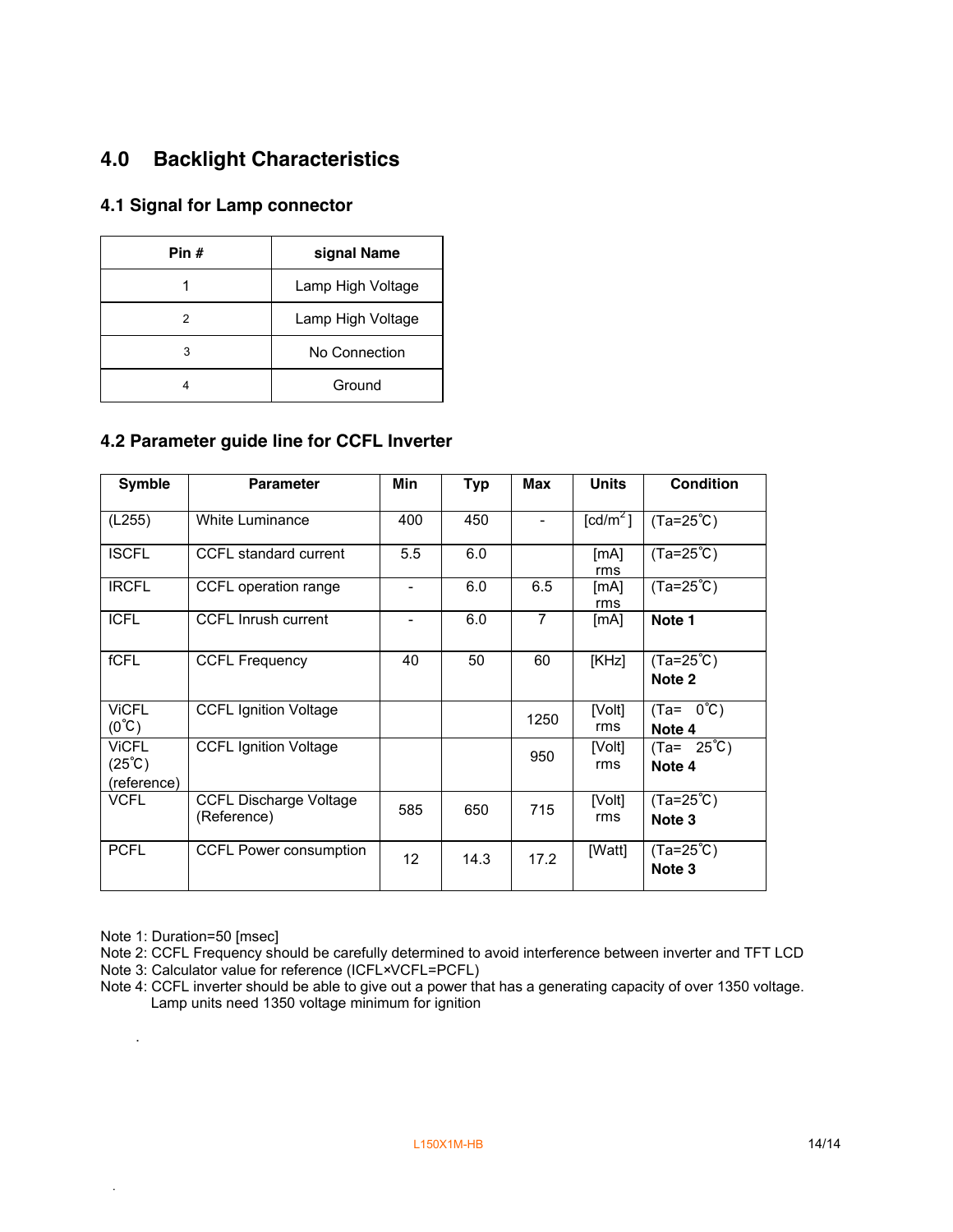# **4.0 Backlight Characteristics**

#### **4.1 Signal for Lamp connector**

| Pin # | signal Name       |
|-------|-------------------|
|       | Lamp High Voltage |
| 2     | Lamp High Voltage |
| 3     | No Connection     |
|       | Ground            |

#### **4.2 Parameter guide line for CCFL Inverter**

| <b>Symble</b>                                         | <b>Parameter</b>                             | Min                      | <b>Typ</b> | Max            | <b>Units</b>                 | <b>Condition</b>               |
|-------------------------------------------------------|----------------------------------------------|--------------------------|------------|----------------|------------------------------|--------------------------------|
| (L255)                                                | White Luminance                              | 400                      | 450        |                | $\textsf{[cd/m}^2\textsf{]}$ | $(Ta=25^{\circ}C)$             |
| <b>ISCFL</b>                                          | CCFL standard current                        | 5.5                      | 6.0        |                | [mA]<br>rms                  | $(Ta=25^{\circ}C)$             |
| <b>IRCFL</b>                                          | CCFL operation range                         | ۰                        | 6.0        | 6.5            | [MA]<br>rms                  | $(Ta=25^{\circ}C)$             |
| <b>ICFL</b>                                           | <b>CCFL Inrush current</b>                   | $\overline{\phantom{a}}$ | 6.0        | $\overline{7}$ | [MA]                         | Note 1                         |
| fCFL                                                  | <b>CCFL Frequency</b>                        | 40                       | 50         | 60             | [KHz]                        | $(Ta=25^{\circ}C)$<br>Note 2   |
| <b>VICFL</b><br>$(0^{\circ}C)$                        | <b>CCFL Ignition Voltage</b>                 |                          |            | 1250           | [Volt]<br>rms                | $(Ta = 0^{\circ}C)$<br>Note 4  |
| <b>VICFL</b><br>$(25^{\circ}\text{C})$<br>(reference) | <b>CCFL Ignition Voltage</b>                 |                          |            | 950            | [Volt]<br>rms                | $(Ta = 25^{\circ}C)$<br>Note 4 |
| <b>VCFL</b>                                           | <b>CCFL Discharge Voltage</b><br>(Reference) | 585                      | 650        | 715            | [Volt]<br>rms                | $(Ta=25^{\circ}C)$<br>Note 3   |
| <b>PCFL</b>                                           | <b>CCFL Power consumption</b>                | 12                       | 14.3       | 17.2           | [Watt]                       | $(Ta=25^{\circ}C)$<br>Note 3   |

Note 1: Duration=50 [msec]

.

.

Note 2: CCFL Frequency should be carefully determined to avoid interference between inverter and TFT LCD Note 3: Calculator value for reference (ICFL×VCFL=PCFL)

Note 4: CCFL inverter should be able to give out a power that has a generating capacity of over 1350 voltage. Lamp units need 1350 voltage minimum for ignition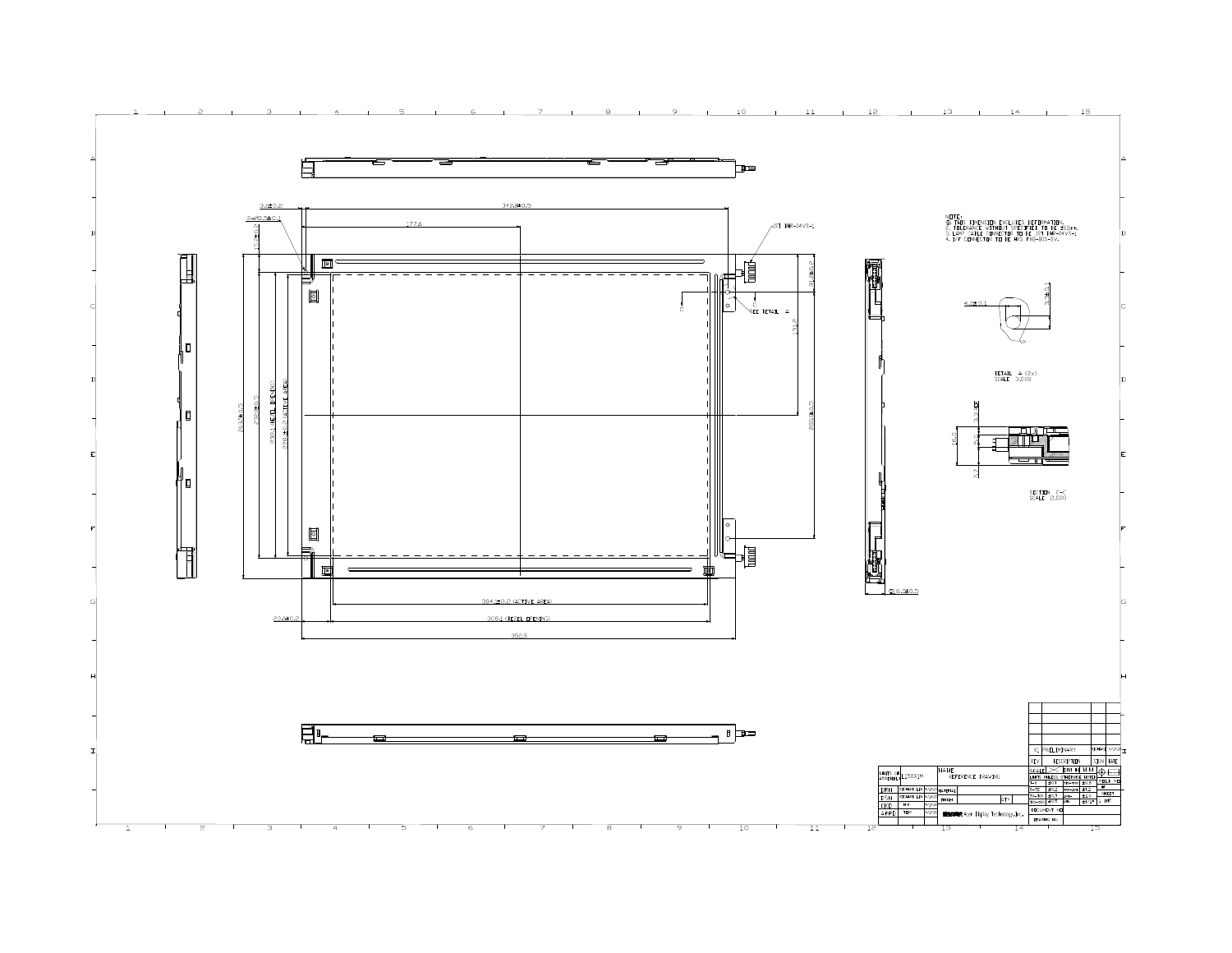